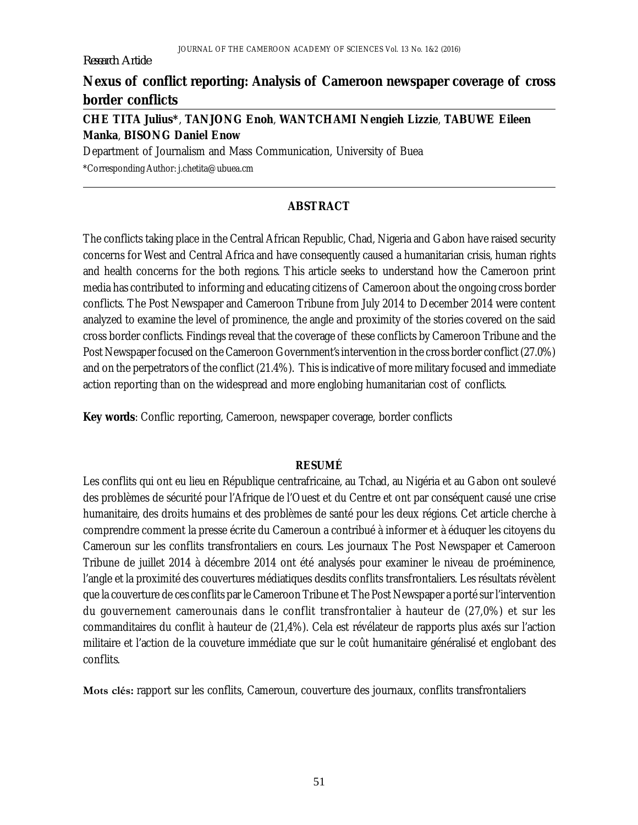#### *Research Article*

## **Nexus of conflict reporting: Analysis of Cameroon newspaper coverage of cross border conflicts**

## **CHE TITA Julius\***, **TANJONG Enoh**, **WANTCHAMI Nengieh Lizzie**, **TABUWE Eileen Manka**, **BISONG Daniel Enow**

Department of Journalism and Mass Communication, University of Buea

\*Corresponding Author: [j.chetita@ubuea.cm](mailto:j.chetita@ubuea.cm)

### **ABSTRACT**

The conflicts taking place in the Central African Republic, Chad, Nigeria and Gabon have raised security concerns for West and Central Africa and have consequently caused a humanitarian crisis, human rights and health concerns for the both regions. This article seeks to understand how the Cameroon print media has contributed to informing and educating citizens of Cameroon about the ongoing cross border conflicts. The Post Newspaper and Cameroon Tribune from July 2014 to December 2014 were content analyzed to examine the level of prominence, the angle and proximity of the stories covered on the said cross border conflicts. Findings reveal that the coverage of these conflicts by Cameroon Tribune and the Post Newspaper focused on the Cameroon Government's intervention in the cross border conflict (27.0%) and on the perpetrators of the conflict (21.4%). This is indicative of more military focused and immediate action reporting than on the widespread and more englobing humanitarian cost of conflicts.

**Key words**: Conflic reporting, Cameroon, newspaper coverage, border conflicts

#### **RESUMÉ**

Les conflits qui ont eu lieu en République centrafricaine, au Tchad, au Nigéria et au Gabon ont soulevé des problèmes de sécurité pour l'Afrique de l'Ouest et du Centre et ont par conséquent causé une crise humanitaire, des droits humains et des problèmes de santé pour les deux régions. Cet article cherche à comprendre comment la presse écrite du Cameroun a contribué à informer et à éduquer les citoyens du Cameroun sur les conflits transfrontaliers en cours. Les journaux The Post Newspaper et Cameroon Tribune de juillet 2014 à décembre 2014 ont été analysés pour examiner le niveau de proéminence, l'angle et la proximité des couvertures médiatiques desdits conflits transfrontaliers. Les résultats révèlent que la couverture de ces conflits par le Cameroon Tribune et The Post Newspaper a porté sur l'intervention du gouvernement camerounais dans le conflit transfrontalier à hauteur de (27,0%) et sur les commanditaires du conflit à hauteur de (21,4%). Cela est révélateur de rapports plus axés sur l'action militaire et l'action de la couveture immédiate que sur le coût humanitaire généralisé et englobant des conflits.

**Mots clés:** rapport sur les conflits, Cameroun, couverture des journaux, conflits transfrontaliers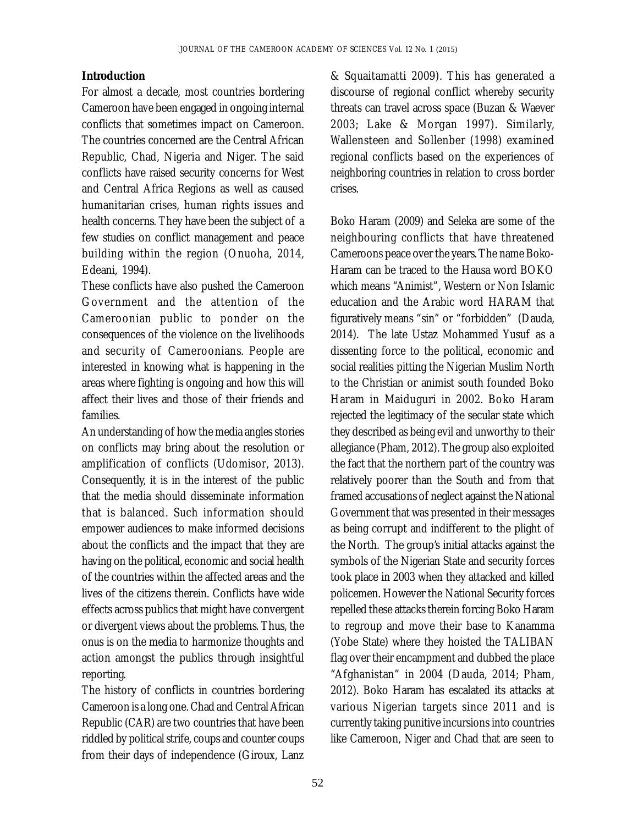#### **Introduction**

For almost a decade, most countries bordering Cameroon have been engaged in ongoing internal conflicts that sometimes impact on Cameroon. The countries concerned are the Central African Republic, Chad, Nigeria and Niger. The said conflicts have raised security concerns for West and Central Africa Regions as well as caused humanitarian crises, human rights issues and health concerns. They have been the subject of a few studies on conflict management and peace building within the region (Onuoha, 2014, Edeani, 1994).

These conflicts have also pushed the Cameroon Government and the attention of the Cameroonian public to ponder on the consequences of the violence on the livelihoods and security of Cameroonians. People are interested in knowing what is happening in the areas where fighting is ongoing and how this will affect their lives and those of their friends and families.

An understanding of how the media angles stories on conflicts may bring about the resolution or amplification of conflicts (Udomisor, 2013). Consequently, it is in the interest of the public that the media should disseminate information that is balanced. Such information should empower audiences to make informed decisions about the conflicts and the impact that they are having on the political, economic and social health of the countries within the affected areas and the lives of the citizens therein. Conflicts have wide effects across publics that might have convergent or divergent views about the problems. Thus, the onus is on the media to harmonize thoughts and action amongst the publics through insightful reporting.

The history of conflicts in countries bordering Cameroon is a long one. Chad and Central African Republic (CAR) are two countries that have been riddled by political strife, coups and counter coups from their days of independence (Giroux, Lanz

& Squaitamatti 2009). This has generated a discourse of regional conflict whereby security threats can travel across space (Buzan & Waever 2003; Lake & Morgan 1997). Similarly, Wallensteen and Sollenber (1998) examined regional conflicts based on the experiences of neighboring countries in relation to cross border crises.

Boko Haram (2009) and Seleka are some of the neighbouring conflicts that have threatened Cameroons peace over the years. The name Boko-Haram can be traced to the Hausa word BOKO which means "Animist", Western or Non Islamic education and the Arabic word HARAM that figuratively means "sin" or "forbidden" (Dauda, 2014). The late Ustaz Mohammed Yusuf as a dissenting force to the political, economic and social realities pitting the Nigerian Muslim North to the Christian or animist south founded Boko Haram in Maiduguri in 2002. Boko Haram rejected the legitimacy of the secular state which they described as being evil and unworthy to their allegiance (Pham, 2012). The group also exploited the fact that the northern part of the country was relatively poorer than the South and from that framed accusations of neglect against the National Government that was presented in their messages as being corrupt and indifferent to the plight of the North. The group's initial attacks against the symbols of the Nigerian State and security forces took place in 2003 when they attacked and killed policemen. However the National Security forces repelled these attacks therein forcing Boko Haram to regroup and move their base to Kanamma (Yobe State) where they hoisted the TALIBAN flag over their encampment and dubbed the place "Afghanistan" in 2004 (Dauda, 2014; Pham, 2012). Boko Haram has escalated its attacks at various Nigerian targets since 2011 and is currently taking punitive incursions into countries like Cameroon, Niger and Chad that are seen to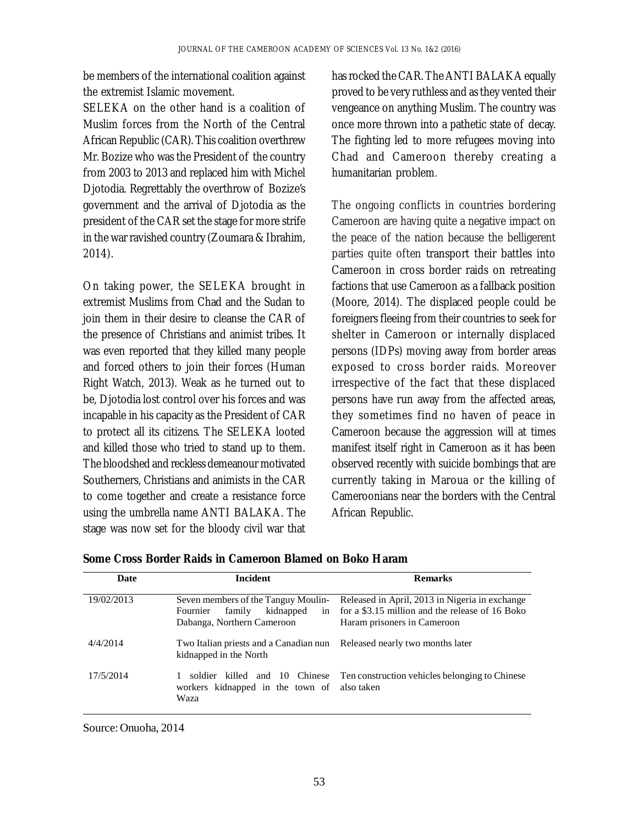be members of the international coalition against the extremist Islamic movement.

SELEKA on the other hand is a coalition of Muslim forces from the North of the Central African Republic (CAR). This coalition overthrew Mr. Bozize who was the President of the country from 2003 to 2013 and replaced him with Michel Djotodia. Regrettably the overthrow of Bozize's government and the arrival of Djotodia as the president of the CAR set the stage for more strife in the war ravished country (Zoumara & Ibrahim, 2014).

On taking power, the SELEKA brought in extremist Muslims from Chad and the Sudan to join them in their desire to cleanse the CAR of the presence of Christians and animist tribes. It was even reported that they killed many people and forced others to join their forces (Human Right Watch, 2013). Weak as he turned out to be, Djotodia lost control over his forces and was incapable in his capacity as the President of CAR to protect all its citizens. The SELEKA looted and killed those who tried to stand up to them. The bloodshed and reckless demeanour motivated Southerners, Christians and animists in the CAR to come together and create a resistance force using the umbrella name ANTI BALAKA. The stage was now set for the bloody civil war that

has rocked the CAR. The ANTI BALAKA equally proved to be very ruthless and as they vented their vengeance on anything Muslim. The country was once more thrown into a pathetic state of decay. The fighting led to more refugees moving into Chad and Cameroon thereby creating a humanitarian problem.

The ongoing conflicts in countries bordering Cameroon are having quite a negative impact on the peace of the nation because the belligerent parties quite often transport their battles into Cameroon in cross border raids on retreating factions that use Cameroon as a fallback position (Moore, 2014). The displaced people could be foreigners fleeing from their countries to seek for shelter in Cameroon or internally displaced persons (IDPs) moving away from border areas exposed to cross border raids. Moreover irrespective of the fact that these displaced persons have run away from the affected areas, they sometimes find no haven of peace in Cameroon because the aggression will at times manifest itself right in Cameroon as it has been observed recently with suicide bombings that are currently taking in Maroua or the killing of Cameroonians near the borders with the Central African Republic.

| Date       | <b>Incident</b>                                                                                            | <b>Remarks</b>                                                                                                                   |  |
|------------|------------------------------------------------------------------------------------------------------------|----------------------------------------------------------------------------------------------------------------------------------|--|
| 19/02/2013 | Seven members of the Tanguy Moulin-<br>kidnapped<br>family<br>Fournier<br>in<br>Dabanga, Northern Cameroon | Released in April, 2013 in Nigeria in exchange<br>for a \$3.15 million and the release of 16 Boko<br>Haram prisoners in Cameroon |  |
| 4/4/2014   | Two Italian priests and a Canadian nun Released nearly two months later<br>kidnapped in the North          |                                                                                                                                  |  |
| 17/5/2014  | soldier killed and 10 Chinese<br>workers kidnapped in the town of<br>Waza                                  | Ten construction vehicles belonging to Chinese<br>also taken                                                                     |  |

**Some Cross Border Raids in Cameroon Blamed on Boko Haram**

Source: Onuoha, 2014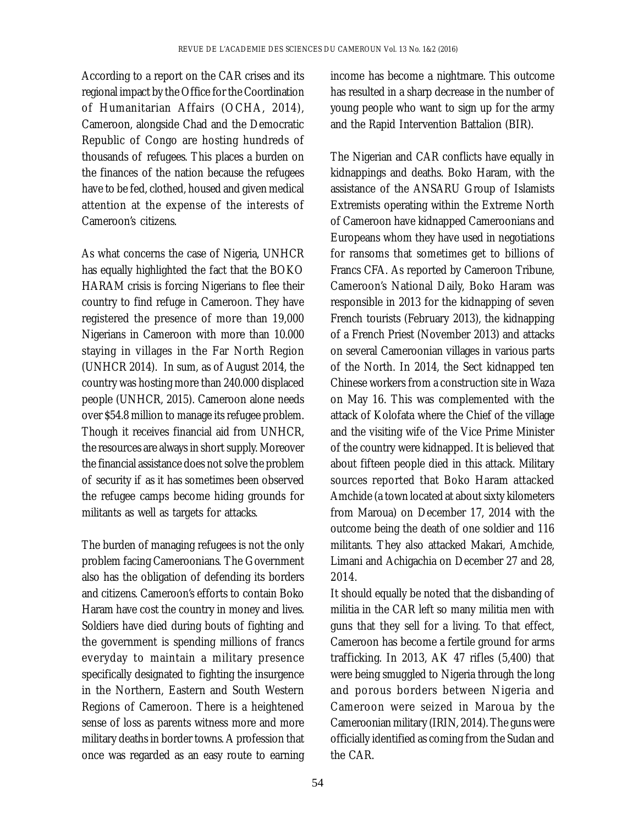According to a report on the CAR crises and its regional impact by the Office for the Coordination of Humanitarian Affairs (OCHA, 2014), Cameroon, alongside Chad and the Democratic Republic of Congo are hosting hundreds of thousands of refugees. This places a burden on the finances of the nation because the refugees have to be fed, clothed, housed and given medical attention at the expense of the interests of Cameroon's citizens.

As what concerns the case of Nigeria, UNHCR has equally highlighted the fact that the BOKO HARAM crisis is forcing Nigerians to flee their country to find refuge in Cameroon. They have registered the presence of more than 19,000 Nigerians in Cameroon with more than 10.000 staying in villages in the Far North Region (UNHCR 2014). In sum, as of August 2014, the country was hosting more than 240.000 displaced people (UNHCR, 2015). Cameroon alone needs over \$54.8 million to manage its refugee problem. Though it receives financial aid from UNHCR, the resources are always in short supply. Moreover the financial assistance does not solve the problem of security if as it has sometimes been observed the refugee camps become hiding grounds for militants as well as targets for attacks.

The burden of managing refugees is not the only problem facing Cameroonians. The Government also has the obligation of defending its borders and citizens. Cameroon's efforts to contain Boko Haram have cost the country in money and lives. Soldiers have died during bouts of fighting and the government is spending millions of francs everyday to maintain a military presence specifically designated to fighting the insurgence in the Northern, Eastern and South Western Regions of Cameroon. There is a heightened sense of loss as parents witness more and more military deaths in border towns. A profession that once was regarded as an easy route to earning

income has become a nightmare. This outcome has resulted in a sharp decrease in the number of young people who want to sign up for the army and the Rapid Intervention Battalion (BIR).

The Nigerian and CAR conflicts have equally in kidnappings and deaths. Boko Haram, with the assistance of the ANSARU Group of Islamists Extremists operating within the Extreme North of Cameroon have kidnapped Cameroonians and Europeans whom they have used in negotiations for ransoms that sometimes get to billions of Francs CFA. As reported by Cameroon Tribune, Cameroon's National Daily, Boko Haram was responsible in 2013 for the kidnapping of seven French tourists (February 2013), the kidnapping of a French Priest (November 2013) and attacks on several Cameroonian villages in various parts of the North. In 2014, the Sect kidnapped ten Chinese workers from a construction site in Waza on May 16. This was complemented with the attack of Kolofata where the Chief of the village and the visiting wife of the Vice Prime Minister of the country were kidnapped. It is believed that about fifteen people died in this attack. Military sources reported that Boko Haram attacked Amchide (a town located at about sixty kilometers from Maroua) on December 17, 2014 with the outcome being the death of one soldier and 116 militants. They also attacked Makari, Amchide, Limani and Achigachia on December 27 and 28, 2014.

It should equally be noted that the disbanding of militia in the CAR left so many militia men with guns that they sell for a living. To that effect, Cameroon has become a fertile ground for arms trafficking. In 2013, AK 47 rifles (5,400) that were being smuggled to Nigeria through the long and porous borders between Nigeria and Cameroon were seized in Maroua by the Cameroonian military (IRIN, 2014). The guns were officially identified as coming from the Sudan and the CAR.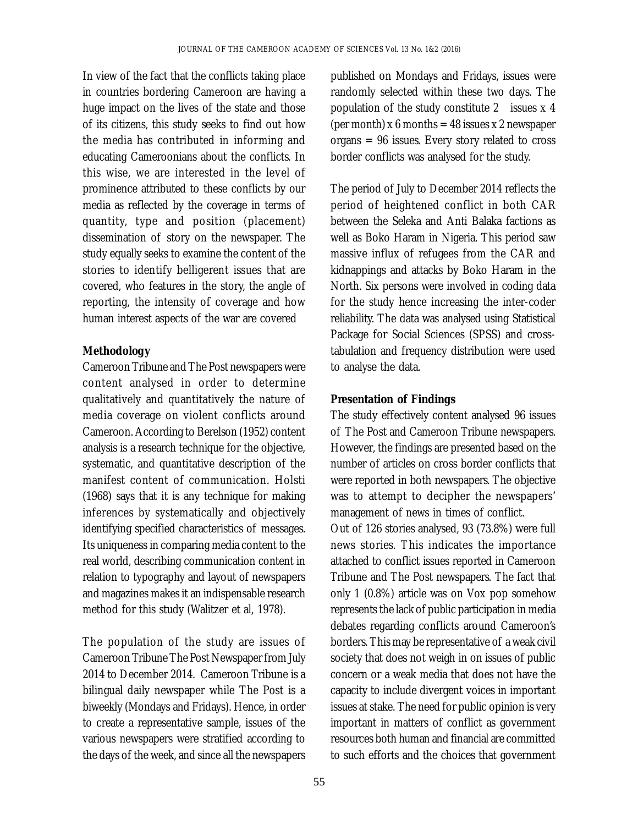In view of the fact that the conflicts taking place in countries bordering Cameroon are having a huge impact on the lives of the state and those of its citizens, this study seeks to find out how the media has contributed in informing and educating Cameroonians about the conflicts. In this wise, we are interested in the level of prominence attributed to these conflicts by our media as reflected by the coverage in terms of quantity, type and position (placement) dissemination of story on the newspaper. The study equally seeks to examine the content of the stories to identify belligerent issues that are covered, who features in the story, the angle of reporting, the intensity of coverage and how human interest aspects of the war are covered

### **Methodology**

Cameroon Tribune and The Post newspapers were content analysed in order to determine qualitatively and quantitatively the nature of media coverage on violent conflicts around Cameroon. According to Berelson (1952) content analysis is a research technique for the objective, systematic, and quantitative description of the manifest content of communication. Holsti (1968) says that it is any technique for making inferences by systematically and objectively identifying specified characteristics of messages. Its uniqueness in comparing media content to the real world, describing communication content in relation to typography and layout of newspapers and magazines makes it an indispensable research method for this study (Walitzer et al, 1978).

The population of the study are issues of Cameroon Tribune The Post Newspaper from July 2014 to December 2014. Cameroon Tribune is a bilingual daily newspaper while The Post is a biweekly (Mondays and Fridays). Hence, in order to create a representative sample, issues of the various newspapers were stratified according to the days of the week, and since all the newspapers

published on Mondays and Fridays, issues were randomly selected within these two days. The population of the study constitute 2 issues x 4 (per month) x 6 months = 48 issues x 2 newspaper organs = 96 issues. Every story related to cross border conflicts was analysed for the study.

The period of July to December 2014 reflects the period of heightened conflict in both CAR between the Seleka and Anti Balaka factions as well as Boko Haram in Nigeria. This period saw massive influx of refugees from the CAR and kidnappings and attacks by Boko Haram in the North. Six persons were involved in coding data for the study hence increasing the inter-coder reliability. The data was analysed using Statistical Package for Social Sciences (SPSS) and crosstabulation and frequency distribution were used to analyse the data.

### **Presentation of Findings**

The study effectively content analysed 96 issues of The Post and Cameroon Tribune newspapers. However, the findings are presented based on the number of articles on cross border conflicts that were reported in both newspapers. The objective was to attempt to decipher the newspapers' management of news in times of conflict. Out of 126 stories analysed, 93 (73.8%) were full news stories. This indicates the importance attached to conflict issues reported in Cameroon Tribune and The Post newspapers. The fact that only 1 (0.8%) article was on Vox pop somehow represents the lack of public participation in media debates regarding conflicts around Cameroon's borders. This may be representative of a weak civil society that does not weigh in on issues of public concern or a weak media that does not have the capacity to include divergent voices in important

issues at stake. The need for public opinion is very important in matters of conflict as government resources both human and financial are committed to such efforts and the choices that government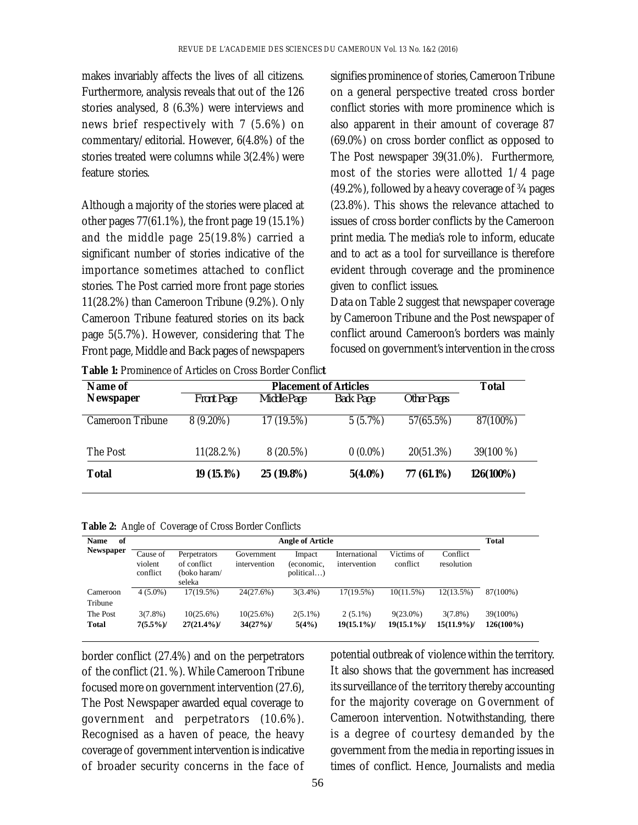makes invariably affects the lives of all citizens. Furthermore, analysis reveals that out of the 126 stories analysed, 8 (6.3%) were interviews and news brief respectively with 7 (5.6%) on commentary/editorial. However, 6(4.8%) of the stories treated were columns while 3(2.4%) were feature stories.

Although a majority of the stories were placed at other pages 77(61.1%), the front page 19 (15.1%) and the middle page 25(19.8%) carried a significant number of stories indicative of the importance sometimes attached to conflict stories. The Post carried more front page stories 11(28.2%) than Cameroon Tribune (9.2%). Only Cameroon Tribune featured stories on its back page 5(5.7%). However, considering that The Front page, Middle and Back pages of newspapers

signifies prominence of stories, Cameroon Tribune on a general perspective treated cross border conflict stories with more prominence which is also apparent in their amount of coverage 87 (69.0%) on cross border conflict as opposed to The Post newspaper 39(31.0%). Furthermore, most of the stories were allotted 1/4 page (49.2%), followed by a heavy coverage of ¾ pages (23.8%). This shows the relevance attached to issues of cross border conflicts by the Cameroon print media. The media's role to inform, educate and to act as a tool for surveillance is therefore evident through coverage and the prominence given to conflict issues.

Data on Table 2 suggest that newspaper coverage by Cameroon Tribune and the Post newspaper of conflict around Cameroon's borders was mainly focused on government's intervention in the cross

| Name of          | <b>Placement of Articles</b> |             |            |             | Total     |
|------------------|------------------------------|-------------|------------|-------------|-----------|
| <b>Newspaper</b> | <b>Front Page</b>            | Middle Page | Back Page  | Other Pages |           |
| Cameroon Tribune | $8(9.20\%)$                  | 17 (19.5%)  | 5(5.7%)    | 57(65.5%)   | 87(100%)  |
| The Post         | 11(28.2.%)                   | 8(20.5%)    | $0(0.0\%)$ | 20(51.3%)   | 39(100 %) |
| Total            | 19 (15.1%)                   | 25 (19.8%)  | $5(4.0\%)$ | 77 (61.1%)  | 126(100%) |

**Table 1:** Prominence of Articles on Cross Border Conflic**t**

**Table 2:** Angle of Coverage of Cross Border Conflicts

| of<br><b>Name</b> | <b>Angle of Article</b>         |                                             |                            |                                    |                               | <b>Total</b>           |                        |              |
|-------------------|---------------------------------|---------------------------------------------|----------------------------|------------------------------------|-------------------------------|------------------------|------------------------|--------------|
| Newspaper         | Cause of<br>violent<br>conflict | Perpetrators<br>of conflict<br>(boko haram/ | Government<br>intervention | Impact<br>(economic,<br>political) | International<br>intervention | Victims of<br>conflict | Conflict<br>resolution |              |
|                   |                                 | seleka                                      |                            |                                    |                               |                        |                        |              |
| Cameroon          | $4(5.0\%)$                      | $17(19.5\%)$                                | 24(27.6%)                  | $3(3.4\%)$                         | $17(19.5\%)$                  | $10(11.5\%)$           | 12(13.5%)              | 87(100%)     |
| Tribune           |                                 |                                             |                            |                                    |                               |                        |                        |              |
| The Post          | $3(7.8\%)$                      | 10(25.6%)                                   | 10(25.6%)                  | $2(5.1\%)$                         | $2(5.1\%)$                    | $9(23.0\%)$            | $3(7.8\%)$             | 39(100%)     |
| Total             | $7(5.5\%)$                      | $27(21.4\%)$                                | 34(27%)                    | 5(4%)                              | $19(15.1\%)$                  | $19(15.1\%)$           | $15(11.9\%)$           | $126(100\%)$ |

border conflict (27.4%) and on the perpetrators of the conflict (21. %). While Cameroon Tribune focused more on government intervention (27.6), The Post Newspaper awarded equal coverage to government and perpetrators (10.6%). Recognised as a haven of peace, the heavy coverage of government intervention is indicative of broader security concerns in the face of

potential outbreak of violence within the territory. It also shows that the government has increased its surveillance of the territory thereby accounting for the majority coverage on Government of Cameroon intervention. Notwithstanding, there is a degree of courtesy demanded by the government from the media in reporting issues in times of conflict. Hence, Journalists and media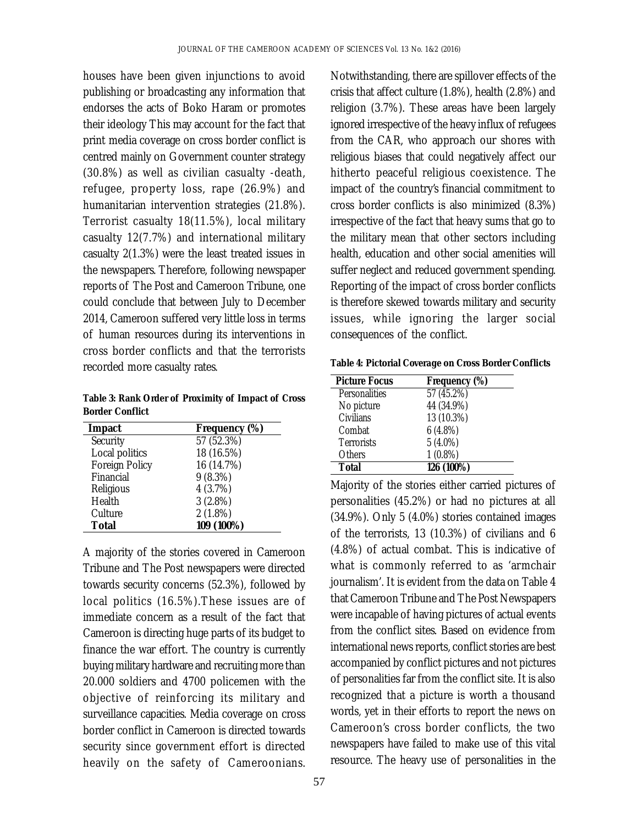houses have been given injunctions to avoid publishing or broadcasting any information that endorses the acts of Boko Haram or promotes their ideology This may account for the fact that print media coverage on cross border conflict is centred mainly on Government counter strategy (30.8%) as well as civilian casualty -death, refugee, property loss, rape (26.9%) and humanitarian intervention strategies (21.8%). Terrorist casualty 18(11.5%), local military casualty 12(7.7%) and international military casualty 2(1.3%) were the least treated issues in the newspapers. Therefore, following newspaper reports of The Post and Cameroon Tribune, one could conclude that between July to December 2014, Cameroon suffered very little loss in terms of human resources during its interventions in cross border conflicts and that the terrorists recorded more casualty rates.

**Table 3: Rank Order of Proximity of Impact of Cross Border Conflict**

| Impact         | Frequency (%) |
|----------------|---------------|
| Security       | 57(52.3%)     |
| Local politics | 18 (16.5%)    |
| Foreign Policy | 16 (14.7%)    |
| Financial      | 9(8.3%)       |
| Religious      | 4(3.7%)       |
| Health         | 3(2.8%)       |
| Culture        | 2(1.8%)       |
| Total          | 109 (100%)    |

A majority of the stories covered in Cameroon Tribune and The Post newspapers were directed towards security concerns (52.3%), followed by local politics (16.5%).These issues are of immediate concern as a result of the fact that Cameroon is directing huge parts of its budget to finance the war effort. The country is currently buying military hardware and recruiting more than 20.000 soldiers and 4700 policemen with the objective of reinforcing its military and surveillance capacities. Media coverage on cross border conflict in Cameroon is directed towards security since government effort is directed heavily on the safety of Cameroonians.

Notwithstanding, there are spillover effects of the crisis that affect culture (1.8%), health (2.8%) and religion (3.7%). These areas have been largely ignored irrespective of the heavy influx of refugees from the CAR, who approach our shores with religious biases that could negatively affect our hitherto peaceful religious coexistence. The impact of the country's financial commitment to cross border conflicts is also minimized (8.3%) irrespective of the fact that heavy sums that go to the military mean that other sectors including health, education and other social amenities will suffer neglect and reduced government spending. Reporting of the impact of cross border conflicts is therefore skewed towards military and security issues, while ignoring the larger social consequences of the conflict.

**Table 4: Pictorial Coverage on Cross Border Conflicts**

| <b>Picture Focus</b> | Frequency (%) |
|----------------------|---------------|
| Personalities        | 57 (45.2%)    |
| No picture           | 44 (34.9%)    |
| Civilians            | 13 (10.3%)    |
| Combat               | 6(4.8%)       |
| <b>Terrorists</b>    | $5(4.0\%)$    |
| <b>Others</b>        | $1(0.8\%)$    |
| Total                | 126 (100%)    |

Majority of the stories either carried pictures of personalities (45.2%) or had no pictures at all (34.9%). Only 5 (4.0%) stories contained images of the terrorists, 13 (10.3%) of civilians and 6 (4.8%) of actual combat. This is indicative of what is commonly referred to as 'armchair journalism'. It is evident from the data on Table 4 that Cameroon Tribune and The Post Newspapers were incapable of having pictures of actual events from the conflict sites. Based on evidence from international news reports, conflict stories are best accompanied by conflict pictures and not pictures of personalities far from the conflict site. It is also recognized that a picture is worth a thousand words, yet in their efforts to report the news on Cameroon's cross border conflicts, the two newspapers have failed to make use of this vital resource. The heavy use of personalities in the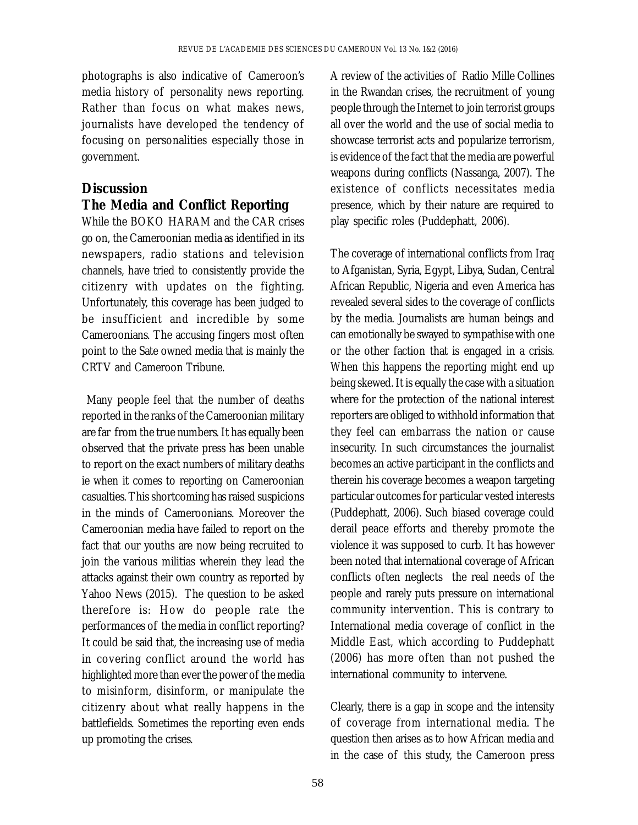photographs is also indicative of Cameroon's media history of personality news reporting. Rather than focus on what makes news, journalists have developed the tendency of focusing on personalities especially those in government.

# **Discussion**

# **The Media and Conflict Reporting**

While the BOKO HARAM and the CAR crises go on, the Cameroonian media as identified in its newspapers, radio stations and television channels, have tried to consistently provide the citizenry with updates on the fighting. Unfortunately, this coverage has been judged to be insufficient and incredible by some Cameroonians. The accusing fingers most often point to the Sate owned media that is mainly the CRTV and Cameroon Tribune.

 Many people feel that the number of deaths reported in the ranks of the Cameroonian military are far from the true numbers. It has equally been observed that the private press has been unable to report on the exact numbers of military deaths ie when it comes to reporting on Cameroonian casualties. This shortcoming has raised suspicions in the minds of Cameroonians. Moreover the Cameroonian media have failed to report on the fact that our youths are now being recruited to join the various militias wherein they lead the attacks against their own country as reported by Yahoo News (2015). The question to be asked therefore is: How do people rate the performances of the media in conflict reporting? It could be said that, the increasing use of media in covering conflict around the world has highlighted more than ever the power of the media to misinform, disinform, or manipulate the citizenry about what really happens in the battlefields. Sometimes the reporting even ends up promoting the crises.

A review of the activities of Radio Mille Collines in the Rwandan crises, the recruitment of young people through the Internet to join terrorist groups all over the world and the use of social media to showcase terrorist acts and popularize terrorism, is evidence of the fact that the media are powerful weapons during conflicts (Nassanga, 2007). The existence of conflicts necessitates media presence, which by their nature are required to play specific roles (Puddephatt, 2006).

The coverage of international conflicts from Iraq to Afganistan, Syria, Egypt, Libya, Sudan, Central African Republic, Nigeria and even America has revealed several sides to the coverage of conflicts by the media. Journalists are human beings and can emotionally be swayed to sympathise with one or the other faction that is engaged in a crisis. When this happens the reporting might end up being skewed. It is equally the case with a situation where for the protection of the national interest reporters are obliged to withhold information that they feel can embarrass the nation or cause insecurity. In such circumstances the journalist becomes an active participant in the conflicts and therein his coverage becomes a weapon targeting particular outcomes for particular vested interests (Puddephatt, 2006). Such biased coverage could derail peace efforts and thereby promote the violence it was supposed to curb. It has however been noted that international coverage of African conflicts often neglects the real needs of the people and rarely puts pressure on international community intervention. This is contrary to International media coverage of conflict in the Middle East, which according to Puddephatt (2006) has more often than not pushed the international community to intervene.

Clearly, there is a gap in scope and the intensity of coverage from international media. The question then arises as to how African media and in the case of this study, the Cameroon press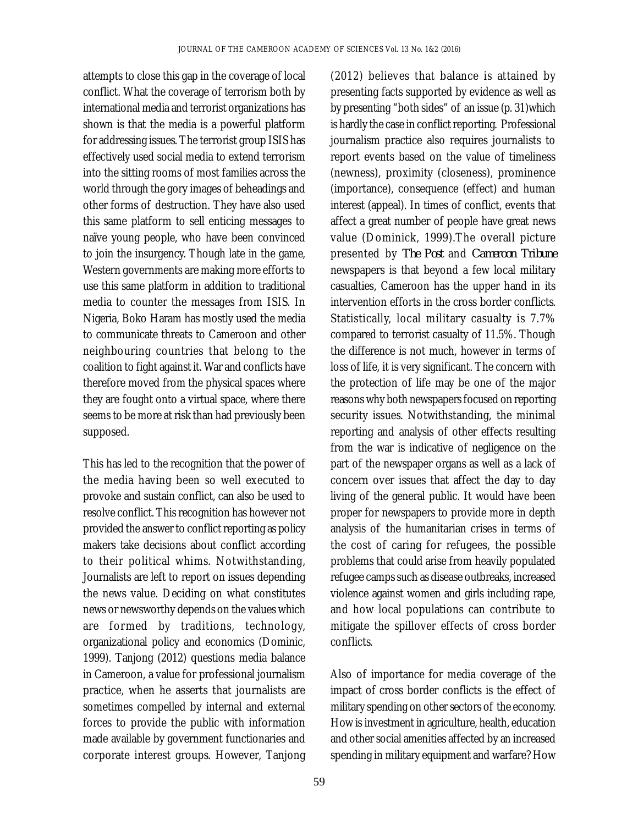attempts to close this gap in the coverage of local conflict. What the coverage of terrorism both by international media and terrorist organizations has shown is that the media is a powerful platform for addressing issues. The terrorist group ISIS has effectively used social media to extend terrorism into the sitting rooms of most families across the world through the gory images of beheadings and other forms of destruction. They have also used this same platform to sell enticing messages to naïve young people, who have been convinced to join the insurgency. Though late in the game, Western governments are making more efforts to use this same platform in addition to traditional media to counter the messages from ISIS. In Nigeria, Boko Haram has mostly used the media to communicate threats to Cameroon and other neighbouring countries that belong to the coalition to fight against it. War and conflicts have therefore moved from the physical spaces where they are fought onto a virtual space, where there seems to be more at risk than had previously been supposed.

This has led to the recognition that the power of the media having been so well executed to provoke and sustain conflict, can also be used to resolve conflict. This recognition has however not provided the answer to conflict reporting as policy makers take decisions about conflict according to their political whims. Notwithstanding, Journalists are left to report on issues depending the news value. Deciding on what constitutes news or newsworthy depends on the values which are formed by traditions, technology, organizational policy and economics (Dominic, 1999). Tanjong (2012) questions media balance in Cameroon, a value for professional journalism practice, when he asserts that journalists are sometimes compelled by internal and external forces to provide the public with information made available by government functionaries and corporate interest groups. However, Tanjong

(2012) believes that balance is attained by presenting facts supported by evidence as well as by presenting "both sides" of an issue (p. 31)which is hardly the case in conflict reporting. Professional journalism practice also requires journalists to report events based on the value of timeliness (newness), proximity (closeness), prominence (importance), consequence (effect) and human interest (appeal). In times of conflict, events that affect a great number of people have great news value (Dominick, 1999).The overall picture presented by *The Post* and *Cameroon Tribune* newspapers is that beyond a few local military casualties, Cameroon has the upper hand in its intervention efforts in the cross border conflicts. Statistically, local military casualty is 7.7% compared to terrorist casualty of 11.5%. Though the difference is not much, however in terms of loss of life, it is very significant. The concern with the protection of life may be one of the major reasons why both newspapers focused on reporting security issues. Notwithstanding, the minimal reporting and analysis of other effects resulting from the war is indicative of negligence on the part of the newspaper organs as well as a lack of concern over issues that affect the day to day living of the general public. It would have been proper for newspapers to provide more in depth analysis of the humanitarian crises in terms of the cost of caring for refugees, the possible problems that could arise from heavily populated refugee camps such as disease outbreaks, increased violence against women and girls including rape, and how local populations can contribute to mitigate the spillover effects of cross border conflicts.

Also of importance for media coverage of the impact of cross border conflicts is the effect of military spending on other sectors of the economy. How is investment in agriculture, health, education and other social amenities affected by an increased spending in military equipment and warfare? How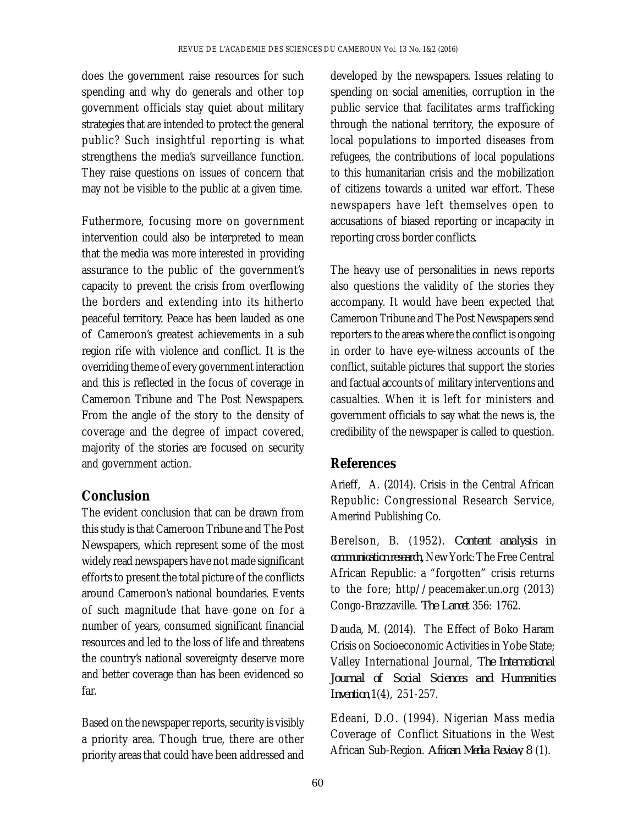does the government raise resources for such spending and why do generals and other top government officials stay quiet about military strategies that are intended to protect the general public? Such insightful reporting is what strengthens the media's surveillance function. They raise questions on issues of concern that may not be visible to the public at a given time.

Futhermore, focusing more on government intervention could also be interpreted to mean that the media was more interested in providing assurance to the public of the government's capacity to prevent the crisis from overflowing the borders and extending into its hitherto peaceful territory. Peace has been lauded as one of Cameroon's greatest achievements in a sub region rife with violence and conflict. It is the overriding theme of every government interaction and this is reflected in the focus of coverage in Cameroon Tribune and The Post Newspapers. From the angle of the story to the density of coverage and the degree of impact covered, majority of the stories are focused on security and government action.

## **Conclusion**

The evident conclusion that can be drawn from this study is that Cameroon Tribune and The Post Newspapers, which represent some of the most widely read newspapers have not made significant efforts to present the total picture of the conflicts around Cameroon's national boundaries. Events of such magnitude that have gone on for a number of years, consumed significant financial resources and led to the loss of life and threatens the country's national sovereignty deserve more and better coverage than has been evidenced so far.

Based on the newspaper reports, security is visibly a priority area. Though true, there are other priority areas that could have been addressed and

developed by the newspapers. Issues relating to spending on social amenities, corruption in the public service that facilitates arms trafficking through the national territory, the exposure of local populations to imported diseases from refugees, the contributions of local populations to this humanitarian crisis and the mobilization of citizens towards a united war effort. These newspapers have left themselves open to accusations of biased reporting or incapacity in reporting cross border conflicts.

The heavy use of personalities in news reports also questions the validity of the stories they accompany. It would have been expected that Cameroon Tribune and The Post Newspapers send reporters to the areas where the conflict is ongoing in order to have eye-witness accounts of the conflict, suitable pictures that support the stories and factual accounts of military interventions and casualties. When it is left for ministers and government officials to say what the news is, the credibility of the newspaper is called to question.

## **References**

Arieff, A. (2014). Crisis in the Central African Republic: Congressional Research Service, Amerind Publishing Co.

Berelson, B. (1952). *Content analysis in communication research,* New York: The Free Central African Republic: a "forgotten" crisis returns to the fore; http//peacemaker.un.org (2013) Congo-Brazzaville. *The Lancet* 356: 1762.

Dauda, M. (2014). The Effect of Boko Haram Crisis on Socioeconomic Activities in Yobe State; Valley International Journal, *The International Journal of Social Sciences and Humanities Invention*,1(4), 251-257.

Edeani, D.O. (1994). Nigerian Mass media Coverage of Conflict Situations in the West African Sub-Region. *African Media Review, 8* (1).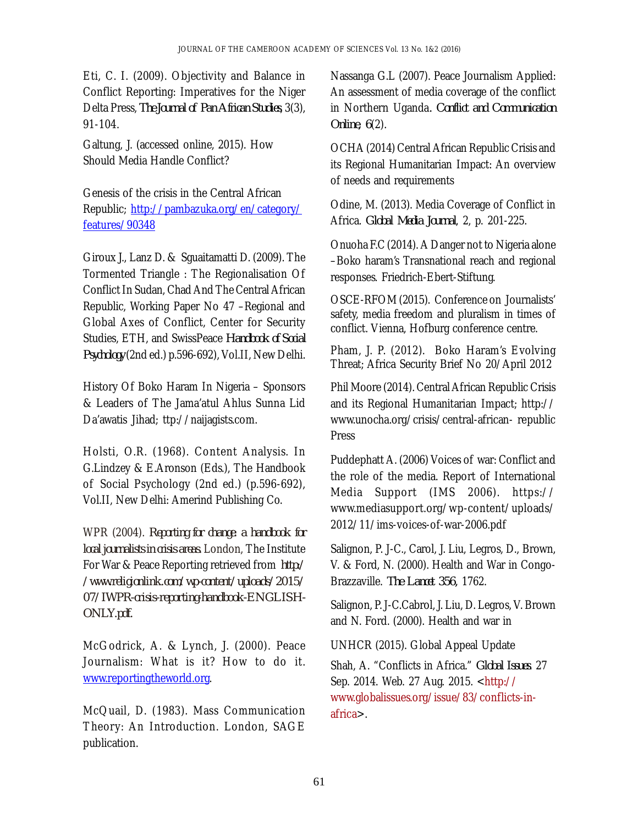Eti, C. I. (2009). Objectivity and Balance in Conflict Reporting: Imperatives for the Niger Delta Press, *The Journal of Pan African Studies*, 3(3), 91-104.

Galtung, J. (accessed online, 2015). How Should Media Handle Conflict?

Genesis of the crisis in the Central African Republic; <http://pambazuka.org/en/category/> features/90348

Giroux J., Lanz D. & Sguaitamatti D. (2009). The Tormented Triangle : The Regionalisation Of Conflict In Sudan, Chad And The Central African Republic, Working Paper No 47 –Regional and Global Axes of Conflict, Center for Security Studies, ETH, and SwissPeace *Handbook of Social Psychology* (2nd ed.) p.596-692), Vol.II, New Delhi.

History Of Boko Haram In Nigeria – Sponsors & Leaders of The Jama'atul Ahlus Sunna Lid Da'awatis Jihad; ttp://naijagists.com.

Holsti, O.R. (1968). Content Analysis. In G.Lindzey & E.Aronson (Eds.), The Handbook of Social Psychology (2nd ed.) (p.596-692), Vol.II, New Delhi: Amerind Publishing Co.

WPR (2004). *Reporting for change: a handbook for local journalists in crisis areas.* London, The Institute For War & Peace Reporting retrieved from *http:/ /[www.religionlink.com/wp-content/uploads/2015/](http://www.religionlink.com/wp-content/uploads/2015/) 07/IWPR-crisis-reporting-handbook-ENGLISH-ONLY.pdf.*

McGodrick, A. & Lynch, J. (2000). Peace Journalism: What is it? How to do it. [www.reportingtheworld.org.](http://www.reportingtheworld.org.)

McQuail, D. (1983). Mass Communication Theory: An Introduction. London, SAGE publication.

Nassanga G.L (2007). Peace Journalism Applied: An assessment of media coverage of the conflict in Northern Uganda*. Conflict and Communication Online, 6*(2).

OCHA (2014) Central African Republic Crisis and its Regional Humanitarian Impact: An overview of needs and requirements

Odine, M. (2013). Media Coverage of Conflict in Africa. *Global Media Journal*, 2, p. 201-225.

Onuoha F.C (2014). A Danger not to Nigeria alone –Boko haram's Transnational reach and regional responses. Friedrich-Ebert-Stiftung.

OSCE-RFOM (2015). Conference on Journalists' safety, media freedom and pluralism in times of conflict. Vienna, Hofburg conference centre.

Pham, J. P. (2012). Boko Haram's Evolving Threat; Africa Security Brief No 20/April 2012

Phil Moore (2014). Central African Republic Crisis and its Regional Humanitarian Impact; http:// [www.unocha.org/crisis/central-african-](http://www.unocha.org/crisis/central-african-) republic Press

Puddephatt A. (2006) Voices of war: Conflict and the role of the media. Report of International Media Support (IMS 2006). https:// [www.mediasupport.org/wp-content/uploads/](http://www.mediasupport.org/wp-content/uploads/) 2012/11/ims-voices-of-war-2006.pdf

Salignon, P. J-C., Carol, J. Liu, Legros, D., Brown, V. & Ford, N. (2000). Health and War in Congo-Brazzaville. *The Lancet 356,* 1762.

Salignon, P. J-C.Cabrol, J. Liu, D. Legros, V. Brown and N. Ford. (2000). Health and war in

UNHCR (2015). Global Appeal Update

Shah, A. "Conflicts in Africa." *Global Issues*. 27 Sep. 2014. Web. 27 Aug. 2015. [<http://](http://) [www.globalissues.org/issue/83/conflicts-in](http://www.globalissues.org/issue/83/conflicts-in-)africa>.